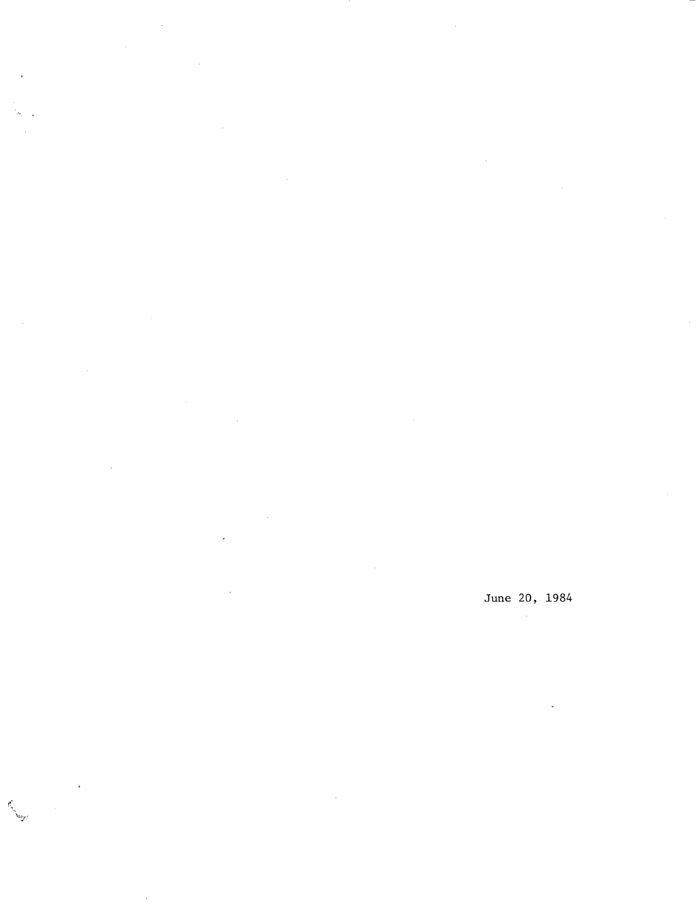June 20, 1984  $\mathcal{A}^{\mathcal{A}}$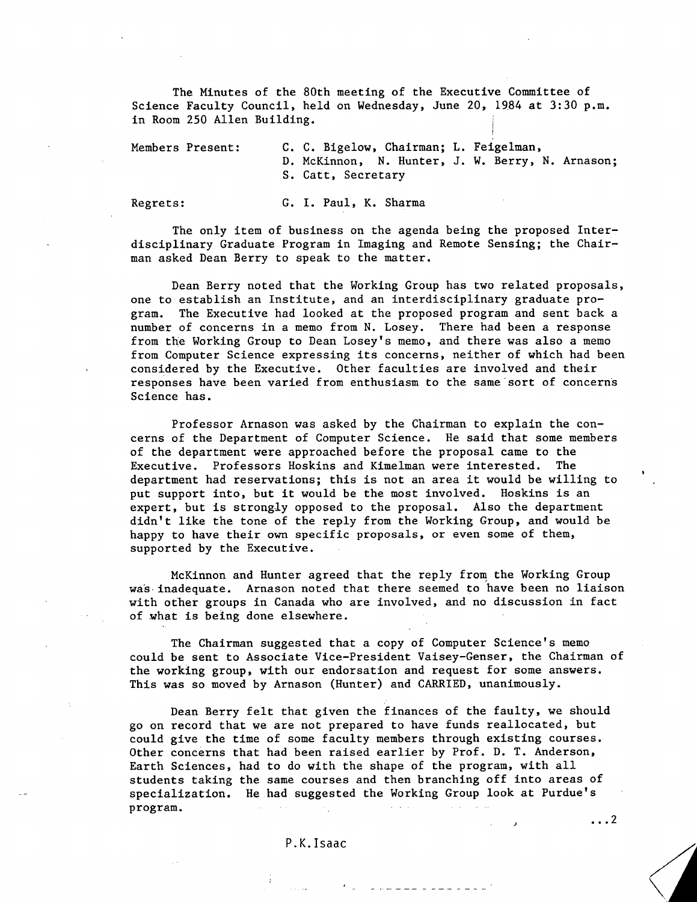The Minutes of the 80th meeting of the Executive Committee of Science Faculty Council, held on Wednesday, June 20, 1984 at 3:30 p.m. in Room 250 Allen Building.

Members Present: C. C. Bigelow, Chairman; L. Feigelman, D. McKinnon, N. Hunter, J. W. Berry, N. Arnason; S. Catt, Secretary

Regrets: G. I. Paul, K. Sharma

The only item of business on the agenda being the proposed Interdisciplinary Graduate Program in Imaging and Remote Sensing; the Chairman asked Dean Berry to speak to the matter.

Dean Berry noted that the Working Group has two related proposals, one to establish an Institute, and an interdisciplinary graduate program. The Executive had looked at the proposed program and sent back a number of concerns in a memo from N. Losey. There had been a response from the Working Group to Dean Losey's memo, and there was also a memo from Computer Science expressing its concerns, neither of which had been considered by the Executive. Other faculties are involved and their responses have been varied from enthusiasm to the same sort of concerns Science has.

Professor Arnason was asked by the Chairman to explain the concerns of the Department of Computer Science. He said that some members of the department were approached before the proposal came to the Executive. Professors Hoskins and Kimelman were interested. The department had reservations; this is not an area it would be willing to put support into, but it would be the most involved. Hoskins is an expert, but is strongly opposed to the proposal. Also the department didn't like the tone of the reply from the Working Group, and would be happy to have their own specific proposals, or even some of them, supported by the Executive.

McKinnon and Hunter agreed that the reply from the Working Group was inadequate. Arnason noted that there seemed to have been no liaison with other groups in Canada who are involved, and no discussion in fact of what is being done elsewhere.

The Chairman suggested that a copy of Computer Science's memo could be sent to Associate Vice-President Vaisey-Genser, the Chairman of the working group, with our endorsation and request for some answers. This was so moved by Arnason (Hunter) and CARRIED, unanimously.

Dean Berry felt that given the finances of the faulty, we should go on record that we are not prepared to have funds reallocated, but could give the time of some faculty members through existing courses. Other concerns that had been raised earlier by Prof. D. T. Anderson, Earth Sciences, had to do with the shape of the program, with all students taking the same courses and then branching off into areas of specialization. He had suggested the Working Group look at Purdue's program. Linuxian

P.K. Isaac

 $\ldots$  2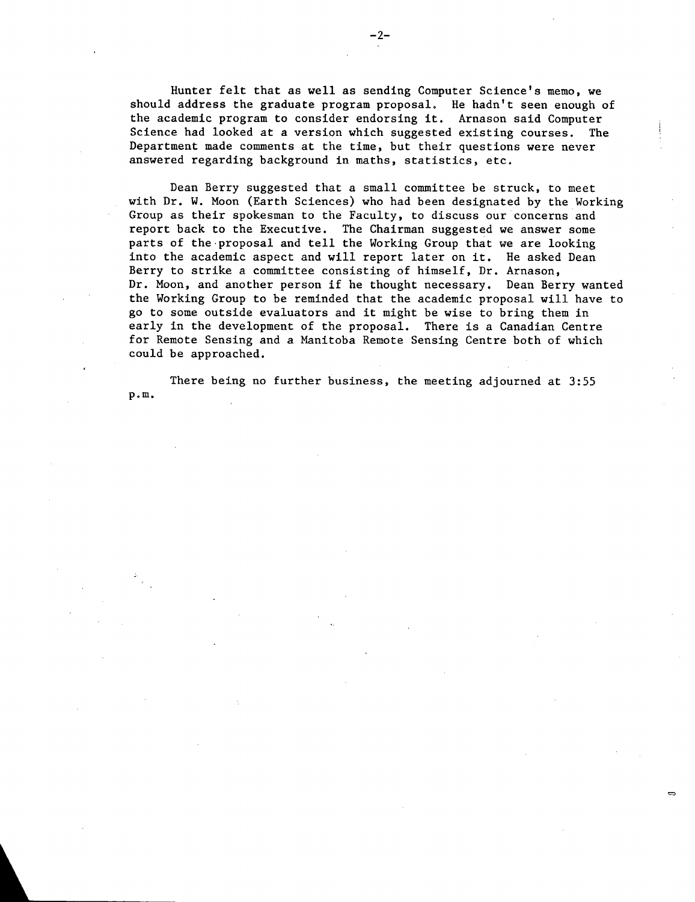Hunter felt that as well as sending Computer Science's memo, we should address the graduate program proposal. He hadn't seen enough of the academic program to consider endorsing it. Arnason said Computer Science had looked at a version which suggested existing courses. The Department made comments at the time, but their questions were never answered regarding background in maths, statistics, etc.

Dean Berry suggested that a small committee be struck, to meet with Dr. W. Moon (Earth Sciences) who had been designated by the Working Group as their spokesman to the Faculty, to discuss our concerns and report back to the Executive. The Chairman suggested we answer some parts of the proposal and tell the Working Group that we are looking into the academic aspect and will report later on it. He asked Dean Berry to strike a committee consisting of himself, Dr. Arnason, Dr. Moon, and another person if he thought necessary. Dean Berry wanted the Working Group to be reminded that the academic proposal will have to go to some outside evaluators and it might be wise to bring them in early in the development of the proposal. There is a Canadian Centre for Remote Sensing and a Manitoba Remote Sensing Centre both of which could be approached.

There being no further business, the meeting adjourned at 3:55  $p.m.$